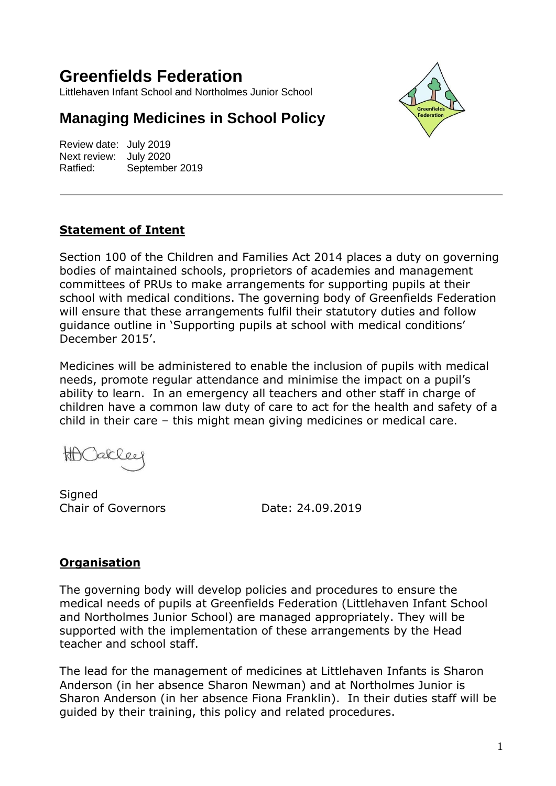# **Greenfields Federation**

Littlehaven Infant School and Northolmes Junior School

## **Managing Medicines in School Policy**

Review date: July 2019 Next review: July 2020 Ratfied: September 2019



#### **Statement of Intent**

Section 100 of the Children and Families Act 2014 places a duty on governing bodies of maintained schools, proprietors of academies and management committees of PRUs to make arrangements for supporting pupils at their school with medical conditions. The governing body of Greenfields Federation will ensure that these arrangements fulfil their statutory duties and follow guidance outline in 'Supporting pupils at school with medical conditions' December 2015'.

Medicines will be administered to enable the inclusion of pupils with medical needs, promote regular attendance and minimise the impact on a pupil's ability to learn. In an emergency all teachers and other staff in charge of children have a common law duty of care to act for the health and safety of a child in their care – this might mean giving medicines or medical care.

tth C  $ack \, 20$ 

**Signed** Chair of Governors Date: 24.09.2019

#### **Organisation**

The governing body will develop policies and procedures to ensure the medical needs of pupils at Greenfields Federation (Littlehaven Infant School and Northolmes Junior School) are managed appropriately. They will be supported with the implementation of these arrangements by the Head teacher and school staff.

The lead for the management of medicines at Littlehaven Infants is Sharon Anderson (in her absence Sharon Newman) and at Northolmes Junior is Sharon Anderson (in her absence Fiona Franklin). In their duties staff will be guided by their training, this policy and related procedures.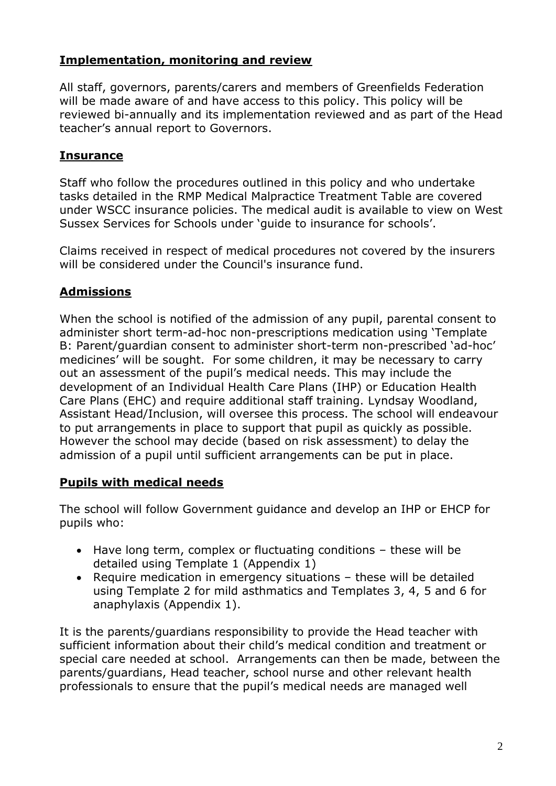#### **Implementation, monitoring and review**

All staff, governors, parents/carers and members of Greenfields Federation will be made aware of and have access to this policy. This policy will be reviewed bi-annually and its implementation reviewed and as part of the Head teacher's annual report to Governors.

#### **Insurance**

Staff who follow the procedures outlined in this policy and who undertake tasks detailed in the RMP Medical Malpractice Treatment Table are covered under WSCC insurance policies. The medical audit is available to view on West Sussex Services for Schools under 'guide to insurance for schools'.

Claims received in respect of medical procedures not covered by the insurers will be considered under the Council's insurance fund.

## **Admissions**

When the school is notified of the admission of any pupil, parental consent to administer short term-ad-hoc non-prescriptions medication using 'Template B: Parent/guardian consent to administer short-term non-prescribed 'ad-hoc' medicines' will be sought. For some children, it may be necessary to carry out an assessment of the pupil's medical needs. This may include the development of an Individual Health Care Plans (IHP) or Education Health Care Plans (EHC) and require additional staff training. Lyndsay Woodland, Assistant Head/Inclusion, will oversee this process. The school will endeavour to put arrangements in place to support that pupil as quickly as possible. However the school may decide (based on risk assessment) to delay the admission of a pupil until sufficient arrangements can be put in place.

#### **Pupils with medical needs**

The school will follow Government guidance and develop an IHP or EHCP for pupils who:

- Have long term, complex or fluctuating conditions these will be detailed using Template 1 (Appendix 1)
- Require medication in emergency situations these will be detailed using Template 2 for mild asthmatics and Templates 3, 4, 5 and 6 for anaphylaxis (Appendix 1).

It is the parents/guardians responsibility to provide the Head teacher with sufficient information about their child's medical condition and treatment or special care needed at school. Arrangements can then be made, between the parents/guardians, Head teacher, school nurse and other relevant health professionals to ensure that the pupil's medical needs are managed well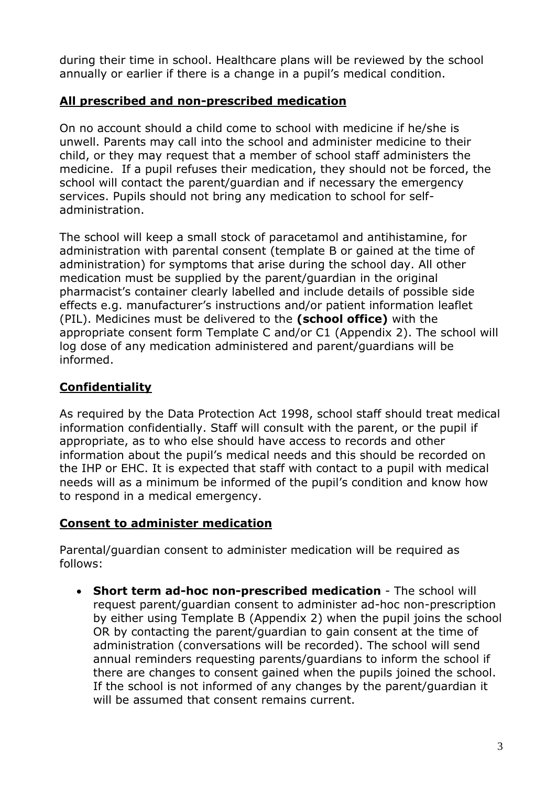during their time in school. Healthcare plans will be reviewed by the school annually or earlier if there is a change in a pupil's medical condition.

#### **All prescribed and non-prescribed medication**

On no account should a child come to school with medicine if he/she is unwell. Parents may call into the school and administer medicine to their child, or they may request that a member of school staff administers the medicine. If a pupil refuses their medication, they should not be forced, the school will contact the parent/guardian and if necessary the emergency services. Pupils should not bring any medication to school for selfadministration.

The school will keep a small stock of paracetamol and antihistamine, for administration with parental consent (template B or gained at the time of administration) for symptoms that arise during the school day. All other medication must be supplied by the parent/guardian in the original pharmacist's container clearly labelled and include details of possible side effects e.g. manufacturer's instructions and/or patient information leaflet (PIL). Medicines must be delivered to the **(school office)** with the appropriate consent form Template C and/or C1 (Appendix 2). The school will log dose of any medication administered and parent/guardians will be informed.

## **Confidentiality**

As required by the Data Protection Act 1998, school staff should treat medical information confidentially. Staff will consult with the parent, or the pupil if appropriate, as to who else should have access to records and other information about the pupil's medical needs and this should be recorded on the IHP or EHC. It is expected that staff with contact to a pupil with medical needs will as a minimum be informed of the pupil's condition and know how to respond in a medical emergency.

#### **Consent to administer medication**

Parental/guardian consent to administer medication will be required as follows:

 **Short term ad-hoc non-prescribed medication** - The school will request parent/guardian consent to administer ad-hoc non-prescription by either using Template B (Appendix 2) when the pupil joins the school OR by contacting the parent/guardian to gain consent at the time of administration (conversations will be recorded). The school will send annual reminders requesting parents/guardians to inform the school if there are changes to consent gained when the pupils joined the school. If the school is not informed of any changes by the parent/guardian it will be assumed that consent remains current.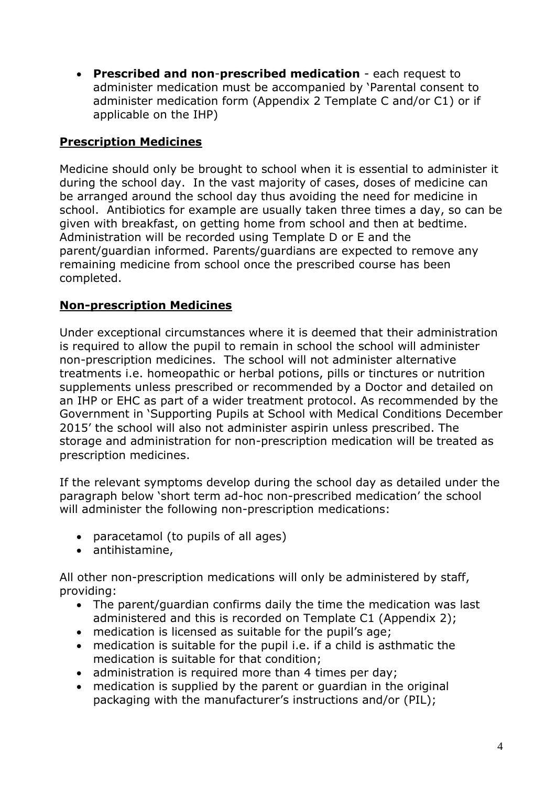**Prescribed and non**-**prescribed medication** - each request to administer medication must be accompanied by 'Parental consent to administer medication form (Appendix 2 Template C and/or C1) or if applicable on the IHP)

### **Prescription Medicines**

Medicine should only be brought to school when it is essential to administer it during the school day. In the vast majority of cases, doses of medicine can be arranged around the school day thus avoiding the need for medicine in school. Antibiotics for example are usually taken three times a day, so can be given with breakfast, on getting home from school and then at bedtime. Administration will be recorded using Template D or E and the parent/guardian informed. Parents/guardians are expected to remove any remaining medicine from school once the prescribed course has been completed.

#### **Non-prescription Medicines**

Under exceptional circumstances where it is deemed that their administration is required to allow the pupil to remain in school the school will administer non-prescription medicines. The school will not administer alternative treatments i.e. homeopathic or herbal potions, pills or tinctures or nutrition supplements unless prescribed or recommended by a Doctor and detailed on an IHP or EHC as part of a wider treatment protocol. As recommended by the Government in 'Supporting Pupils at School with Medical Conditions December 2015' the school will also not administer aspirin unless prescribed. The storage and administration for non-prescription medication will be treated as prescription medicines.

If the relevant symptoms develop during the school day as detailed under the paragraph below 'short term ad-hoc non-prescribed medication' the school will administer the following non-prescription medications:

- paracetamol (to pupils of all ages)
- antihistamine,

All other non-prescription medications will only be administered by staff, providing:

- The parent/guardian confirms daily the time the medication was last administered and this is recorded on Template C1 (Appendix 2);
- medication is licensed as suitable for the pupil's age;
- medication is suitable for the pupil i.e. if a child is asthmatic the medication is suitable for that condition;
- administration is required more than 4 times per day;
- medication is supplied by the parent or guardian in the original packaging with the manufacturer's instructions and/or (PIL);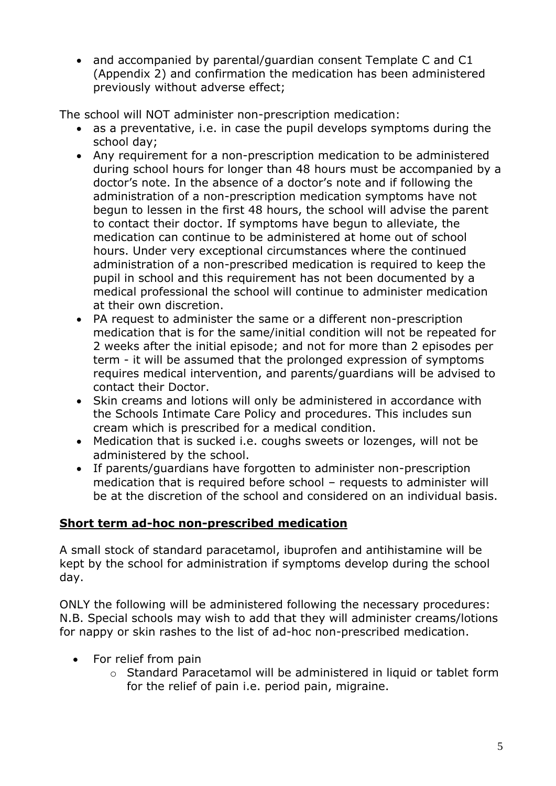• and accompanied by parental/quardian consent Template C and C1 (Appendix 2) and confirmation the medication has been administered previously without adverse effect;

The school will NOT administer non-prescription medication:

- as a preventative, i.e. in case the pupil develops symptoms during the school day;
- Any requirement for a non-prescription medication to be administered during school hours for longer than 48 hours must be accompanied by a doctor's note. In the absence of a doctor's note and if following the administration of a non-prescription medication symptoms have not begun to lessen in the first 48 hours, the school will advise the parent to contact their doctor. If symptoms have begun to alleviate, the medication can continue to be administered at home out of school hours. Under very exceptional circumstances where the continued administration of a non-prescribed medication is required to keep the pupil in school and this requirement has not been documented by a medical professional the school will continue to administer medication at their own discretion.
- PA request to administer the same or a different non-prescription medication that is for the same/initial condition will not be repeated for 2 weeks after the initial episode; and not for more than 2 episodes per term - it will be assumed that the prolonged expression of symptoms requires medical intervention, and parents/guardians will be advised to contact their Doctor.
- Skin creams and lotions will only be administered in accordance with the Schools Intimate Care Policy and procedures. This includes sun cream which is prescribed for a medical condition.
- Medication that is sucked i.e. coughs sweets or lozenges, will not be administered by the school.
- If parents/guardians have forgotten to administer non-prescription medication that is required before school – requests to administer will be at the discretion of the school and considered on an individual basis.

## **Short term ad-hoc non-prescribed medication**

A small stock of standard paracetamol, ibuprofen and antihistamine will be kept by the school for administration if symptoms develop during the school day.

ONLY the following will be administered following the necessary procedures: N.B. Special schools may wish to add that they will administer creams/lotions for nappy or skin rashes to the list of ad-hoc non-prescribed medication.

- For relief from pain
	- o Standard Paracetamol will be administered in liquid or tablet form for the relief of pain i.e. period pain, migraine.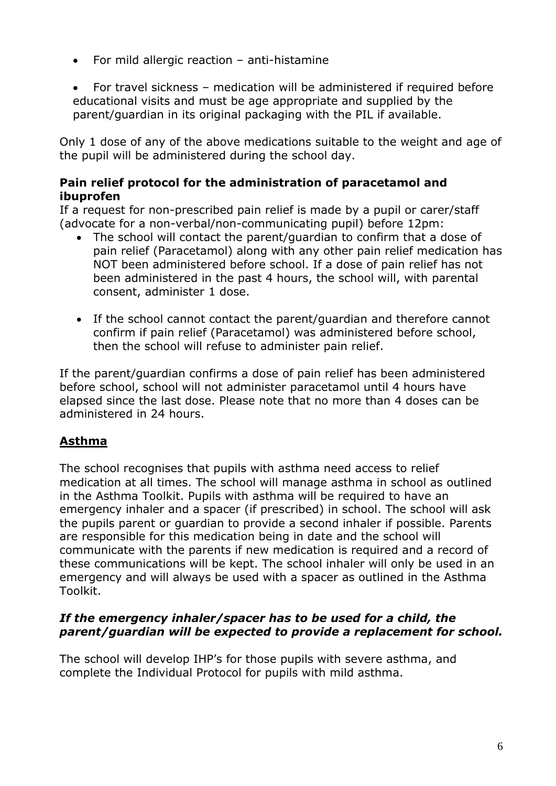- For mild allergic reaction anti-histamine
- For travel sickness medication will be administered if required before educational visits and must be age appropriate and supplied by the parent/guardian in its original packaging with the PIL if available.

Only 1 dose of any of the above medications suitable to the weight and age of the pupil will be administered during the school day.

#### **Pain relief protocol for the administration of paracetamol and ibuprofen**

If a request for non-prescribed pain relief is made by a pupil or carer/staff (advocate for a non-verbal/non-communicating pupil) before 12pm:

- The school will contact the parent/guardian to confirm that a dose of pain relief (Paracetamol) along with any other pain relief medication has NOT been administered before school. If a dose of pain relief has not been administered in the past 4 hours, the school will, with parental consent, administer 1 dose.
- If the school cannot contact the parent/guardian and therefore cannot confirm if pain relief (Paracetamol) was administered before school, then the school will refuse to administer pain relief.

If the parent/guardian confirms a dose of pain relief has been administered before school, school will not administer paracetamol until 4 hours have elapsed since the last dose. Please note that no more than 4 doses can be administered in 24 hours.

## **Asthma**

The school recognises that pupils with asthma need access to relief medication at all times. The school will manage asthma in school as outlined in the Asthma Toolkit. Pupils with asthma will be required to have an emergency inhaler and a spacer (if prescribed) in school. The school will ask the pupils parent or guardian to provide a second inhaler if possible. Parents are responsible for this medication being in date and the school will communicate with the parents if new medication is required and a record of these communications will be kept. The school inhaler will only be used in an emergency and will always be used with a spacer as outlined in the Asthma Toolkit.

#### *If the emergency inhaler/spacer has to be used for a child, the parent/guardian will be expected to provide a replacement for school.*

The school will develop IHP's for those pupils with severe asthma, and complete the Individual Protocol for pupils with mild asthma.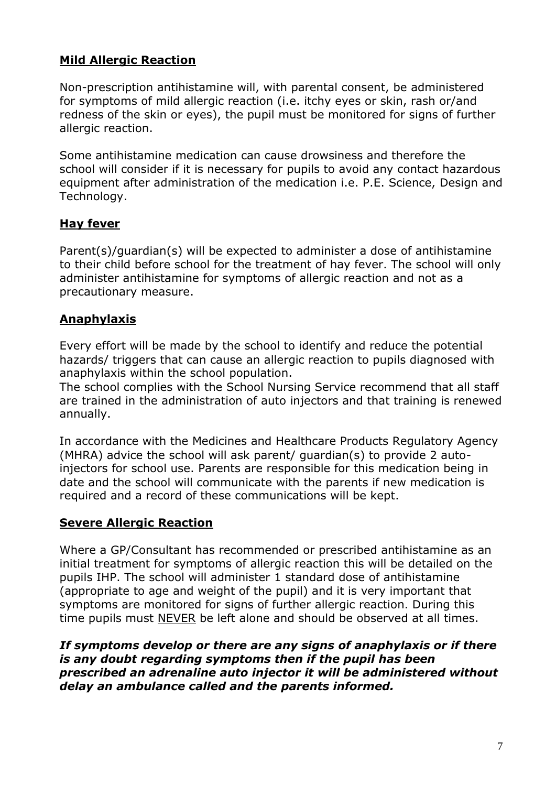#### **Mild Allergic Reaction**

Non-prescription antihistamine will, with parental consent, be administered for symptoms of mild allergic reaction (i.e. itchy eyes or skin, rash or/and redness of the skin or eyes), the pupil must be monitored for signs of further allergic reaction.

Some antihistamine medication can cause drowsiness and therefore the school will consider if it is necessary for pupils to avoid any contact hazardous equipment after administration of the medication i.e. P.E. Science, Design and Technology.

#### **Hay fever**

Parent(s)/guardian(s) will be expected to administer a dose of antihistamine to their child before school for the treatment of hay fever. The school will only administer antihistamine for symptoms of allergic reaction and not as a precautionary measure.

#### **Anaphylaxis**

Every effort will be made by the school to identify and reduce the potential hazards/ triggers that can cause an allergic reaction to pupils diagnosed with anaphylaxis within the school population.

The school complies with the School Nursing Service recommend that all staff are trained in the administration of auto injectors and that training is renewed annually.

In accordance with the Medicines and Healthcare Products Regulatory Agency (MHRA) advice the school will ask parent/ guardian(s) to provide 2 autoinjectors for school use. Parents are responsible for this medication being in date and the school will communicate with the parents if new medication is required and a record of these communications will be kept.

#### **Severe Allergic Reaction**

Where a GP/Consultant has recommended or prescribed antihistamine as an initial treatment for symptoms of allergic reaction this will be detailed on the pupils IHP. The school will administer 1 standard dose of antihistamine (appropriate to age and weight of the pupil) and it is very important that symptoms are monitored for signs of further allergic reaction. During this time pupils must NEVER be left alone and should be observed at all times.

*If symptoms develop or there are any signs of anaphylaxis or if there is any doubt regarding symptoms then if the pupil has been prescribed an adrenaline auto injector it will be administered without delay an ambulance called and the parents informed.*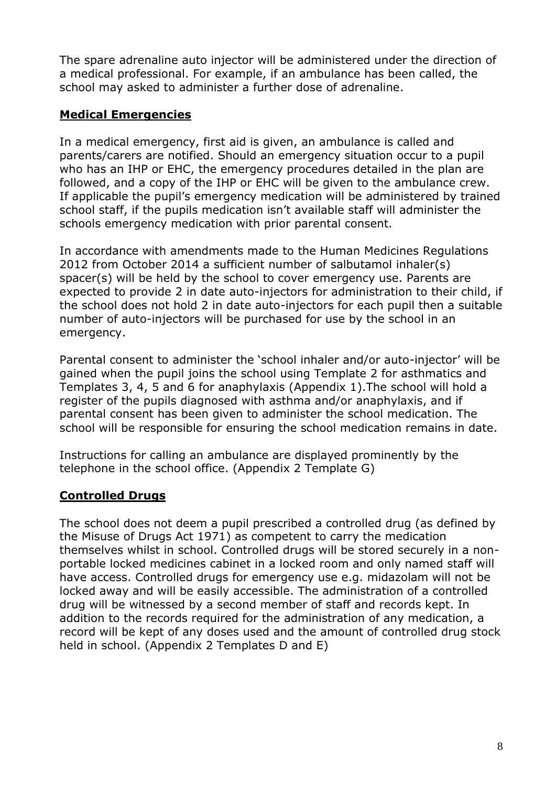The spare adrenaline auto injector will be administered under the direction of a medical professional. For example, if an ambulance has been called, the school may asked to administer a further dose of adrenaline.

#### **Medical Emergencies**

In a medical emergency, first aid is given, an ambulance is called and parents/carers are notified. Should an emergency situation occur to a pupil who has an IHP or EHC, the emergency procedures detailed in the plan are followed, and a copy of the IHP or EHC will be given to the ambulance crew. If applicable the pupil's emergency medication will be administered by trained school staff, if the pupils medication isn't available staff will administer the schools emergency medication with prior parental consent.

In accordance with amendments made to the Human Medicines Regulations 2012 from October 2014 a sufficient number of salbutamol inhaler(s) spacer(s) will be held by the school to cover emergency use. Parents are expected to provide 2 in date auto-injectors for administration to their child, if the school does not hold 2 in date auto-injectors for each pupil then a suitable number of auto-injectors will be purchased for use by the school in an emergency.

Parental consent to administer the 'school inhaler and/or auto-injector' will be gained when the pupil joins the school using Template 2 for asthmatics and Templates 3, 4, 5 and 6 for anaphylaxis (Appendix 1).The school will hold a register of the pupils diagnosed with asthma and/or anaphylaxis, and if parental consent has been given to administer the school medication. The school will be responsible for ensuring the school medication remains in date.

Instructions for calling an ambulance are displayed prominently by the telephone in the school office. (Appendix 2 Template G)

#### **Controlled Drugs**

The school does not deem a pupil prescribed a controlled drug (as defined by the Misuse of Drugs Act 1971) as competent to carry the medication themselves whilst in school. Controlled drugs will be stored securely in a nonportable locked medicines cabinet in a locked room and only named staff will have access. Controlled drugs for emergency use e.g. midazolam will not be locked away and will be easily accessible. The administration of a controlled drug will be witnessed by a second member of staff and records kept. In addition to the records required for the administration of any medication, a record will be kept of any doses used and the amount of controlled drug stock held in school. (Appendix 2 Templates D and E)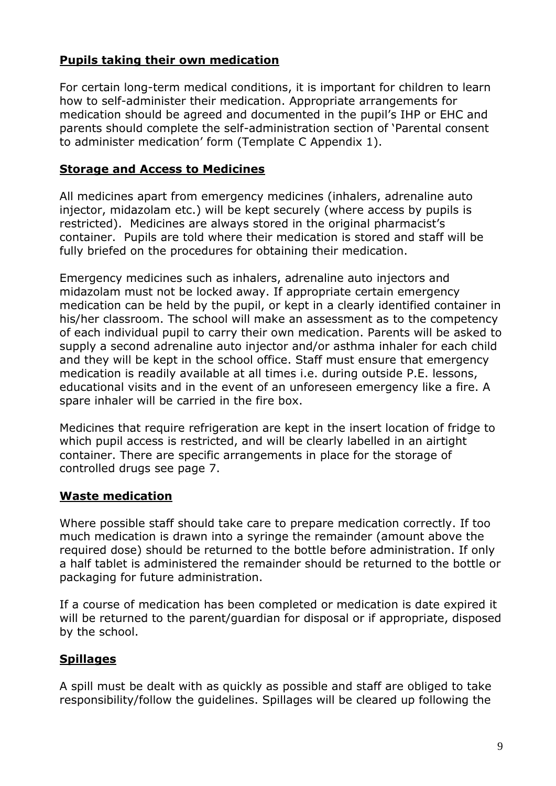#### **Pupils taking their own medication**

For certain long-term medical conditions, it is important for children to learn how to self-administer their medication. Appropriate arrangements for medication should be agreed and documented in the pupil's IHP or EHC and parents should complete the self-administration section of 'Parental consent to administer medication' form (Template C Appendix 1).

#### **Storage and Access to Medicines**

All medicines apart from emergency medicines (inhalers, adrenaline auto injector, midazolam etc.) will be kept securely (where access by pupils is restricted). Medicines are always stored in the original pharmacist's container. Pupils are told where their medication is stored and staff will be fully briefed on the procedures for obtaining their medication.

Emergency medicines such as inhalers, adrenaline auto injectors and midazolam must not be locked away. If appropriate certain emergency medication can be held by the pupil, or kept in a clearly identified container in his/her classroom. The school will make an assessment as to the competency of each individual pupil to carry their own medication. Parents will be asked to supply a second adrenaline auto injector and/or asthma inhaler for each child and they will be kept in the school office. Staff must ensure that emergency medication is readily available at all times i.e. during outside P.E. lessons, educational visits and in the event of an unforeseen emergency like a fire. A spare inhaler will be carried in the fire box.

Medicines that require refrigeration are kept in the insert location of fridge to which pupil access is restricted, and will be clearly labelled in an airtight container. There are specific arrangements in place for the storage of controlled drugs see page 7.

#### **Waste medication**

Where possible staff should take care to prepare medication correctly. If too much medication is drawn into a syringe the remainder (amount above the required dose) should be returned to the bottle before administration. If only a half tablet is administered the remainder should be returned to the bottle or packaging for future administration.

If a course of medication has been completed or medication is date expired it will be returned to the parent/guardian for disposal or if appropriate, disposed by the school.

#### **Spillages**

A spill must be dealt with as quickly as possible and staff are obliged to take responsibility/follow the guidelines. Spillages will be cleared up following the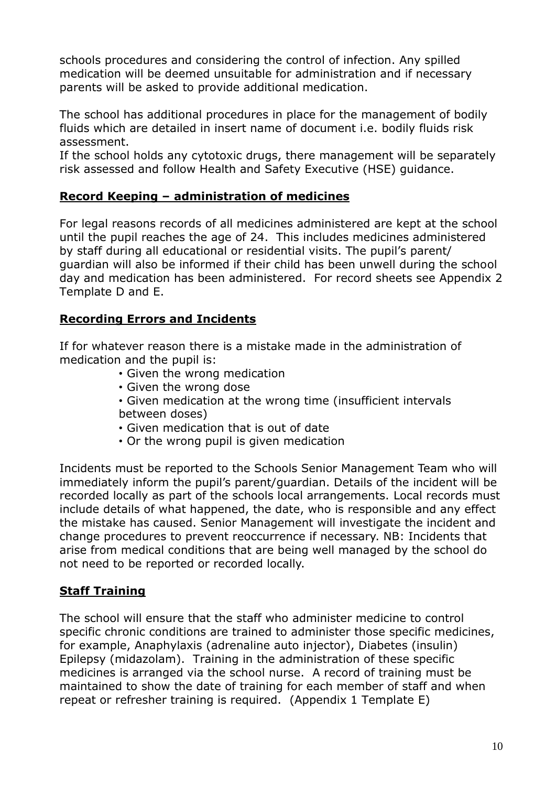schools procedures and considering the control of infection. Any spilled medication will be deemed unsuitable for administration and if necessary parents will be asked to provide additional medication.

The school has additional procedures in place for the management of bodily fluids which are detailed in insert name of document i.e. bodily fluids risk assessment.

If the school holds any cytotoxic drugs, there management will be separately risk assessed and follow Health and Safety Executive (HSE) guidance.

#### **Record Keeping – administration of medicines**

For legal reasons records of all medicines administered are kept at the school until the pupil reaches the age of 24. This includes medicines administered by staff during all educational or residential visits. The pupil's parent/ guardian will also be informed if their child has been unwell during the school day and medication has been administered. For record sheets see Appendix 2 Template D and E.

#### **Recording Errors and Incidents**

If for whatever reason there is a mistake made in the administration of medication and the pupil is:

- Given the wrong medication
- Given the wrong dose
- Given medication at the wrong time (insufficient intervals between doses)
- Given medication that is out of date
- Or the wrong pupil is given medication

Incidents must be reported to the Schools Senior Management Team who will immediately inform the pupil's parent/guardian. Details of the incident will be recorded locally as part of the schools local arrangements. Local records must include details of what happened, the date, who is responsible and any effect the mistake has caused. Senior Management will investigate the incident and change procedures to prevent reoccurrence if necessary. NB: Incidents that arise from medical conditions that are being well managed by the school do not need to be reported or recorded locally.

#### **Staff Training**

The school will ensure that the staff who administer medicine to control specific chronic conditions are trained to administer those specific medicines, for example, Anaphylaxis (adrenaline auto injector), Diabetes (insulin) Epilepsy (midazolam). Training in the administration of these specific medicines is arranged via the school nurse. A record of training must be maintained to show the date of training for each member of staff and when repeat or refresher training is required. (Appendix 1 Template E)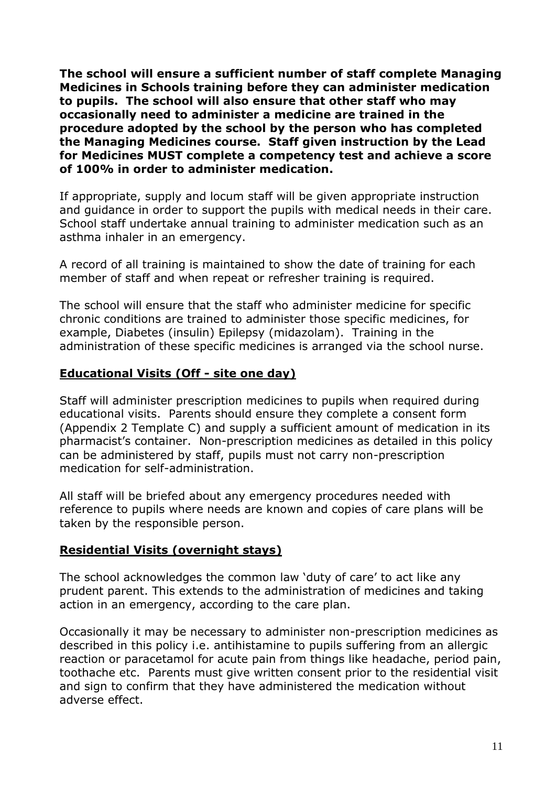**The school will ensure a sufficient number of staff complete Managing Medicines in Schools training before they can administer medication to pupils. The school will also ensure that other staff who may occasionally need to administer a medicine are trained in the procedure adopted by the school by the person who has completed the Managing Medicines course. Staff given instruction by the Lead for Medicines MUST complete a competency test and achieve a score of 100% in order to administer medication.** 

If appropriate, supply and locum staff will be given appropriate instruction and guidance in order to support the pupils with medical needs in their care. School staff undertake annual training to administer medication such as an asthma inhaler in an emergency.

A record of all training is maintained to show the date of training for each member of staff and when repeat or refresher training is required.

The school will ensure that the staff who administer medicine for specific chronic conditions are trained to administer those specific medicines, for example, Diabetes (insulin) Epilepsy (midazolam). Training in the administration of these specific medicines is arranged via the school nurse.

#### **Educational Visits (Off - site one day)**

Staff will administer prescription medicines to pupils when required during educational visits. Parents should ensure they complete a consent form (Appendix 2 Template C) and supply a sufficient amount of medication in its pharmacist's container. Non-prescription medicines as detailed in this policy can be administered by staff, pupils must not carry non-prescription medication for self-administration.

All staff will be briefed about any emergency procedures needed with reference to pupils where needs are known and copies of care plans will be taken by the responsible person.

#### **Residential Visits (overnight stays)**

The school acknowledges the common law 'duty of care' to act like any prudent parent. This extends to the administration of medicines and taking action in an emergency, according to the care plan.

Occasionally it may be necessary to administer non-prescription medicines as described in this policy i.e. antihistamine to pupils suffering from an allergic reaction or paracetamol for acute pain from things like headache, period pain, toothache etc. Parents must give written consent prior to the residential visit and sign to confirm that they have administered the medication without adverse effect.